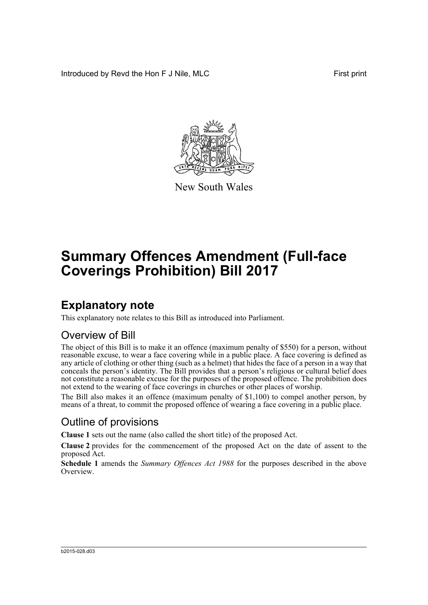Introduced by Revd the Hon F J Nile, MLC **First print** 



New South Wales

# **Summary Offences Amendment (Full-face Coverings Prohibition) Bill 2017**

### **Explanatory note**

This explanatory note relates to this Bill as introduced into Parliament.

#### Overview of Bill

The object of this Bill is to make it an offence (maximum penalty of \$550) for a person, without reasonable excuse, to wear a face covering while in a public place. A face covering is defined as any article of clothing or other thing (such as a helmet) that hides the face of a person in a way that conceals the person's identity. The Bill provides that a person's religious or cultural belief does not constitute a reasonable excuse for the purposes of the proposed offence. The prohibition does not extend to the wearing of face coverings in churches or other places of worship.

The Bill also makes it an offence (maximum penalty of \$1,100) to compel another person, by means of a threat, to commit the proposed offence of wearing a face covering in a public place.

#### Outline of provisions

**Clause 1** sets out the name (also called the short title) of the proposed Act.

**Clause 2** provides for the commencement of the proposed Act on the date of assent to the proposed Act.

**Schedule 1** amends the *Summary Offences Act 1988* for the purposes described in the above Overview.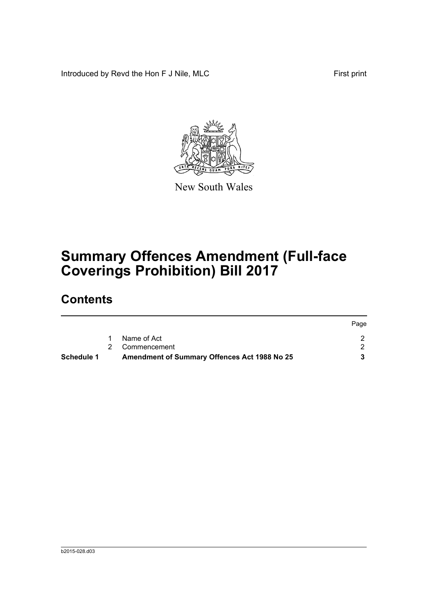Introduced by Revd the Hon F J Nile, MLC First print



New South Wales

# **Summary Offences Amendment (Full-face Coverings Prohibition) Bill 2017**

### **Contents**

| Schedule 1 | <b>Amendment of Summary Offences Act 1988 No 25</b> |      |
|------------|-----------------------------------------------------|------|
|            | 2 Commencement                                      |      |
|            | Name of Act                                         |      |
|            |                                                     | Page |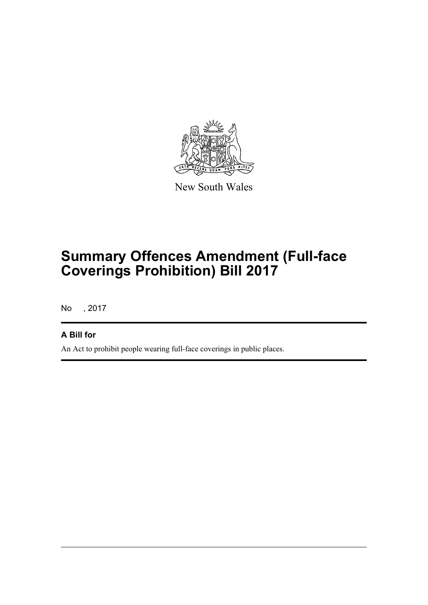

New South Wales

# **Summary Offences Amendment (Full-face Coverings Prohibition) Bill 2017**

No , 2017

#### **A Bill for**

An Act to prohibit people wearing full-face coverings in public places.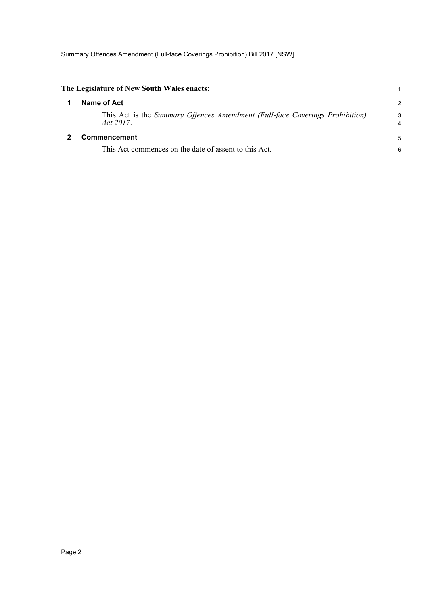<span id="page-3-1"></span><span id="page-3-0"></span>

| The Legislature of New South Wales enacts:                                                |        |
|-------------------------------------------------------------------------------------------|--------|
| Name of Act                                                                               | 2      |
| This Act is the Summary Offences Amendment (Full-face Coverings Prohibition)<br>Act 2017. | 3<br>4 |
| <b>Commencement</b>                                                                       | 5      |
| This Act commences on the date of assent to this Act.                                     | 6      |
|                                                                                           |        |